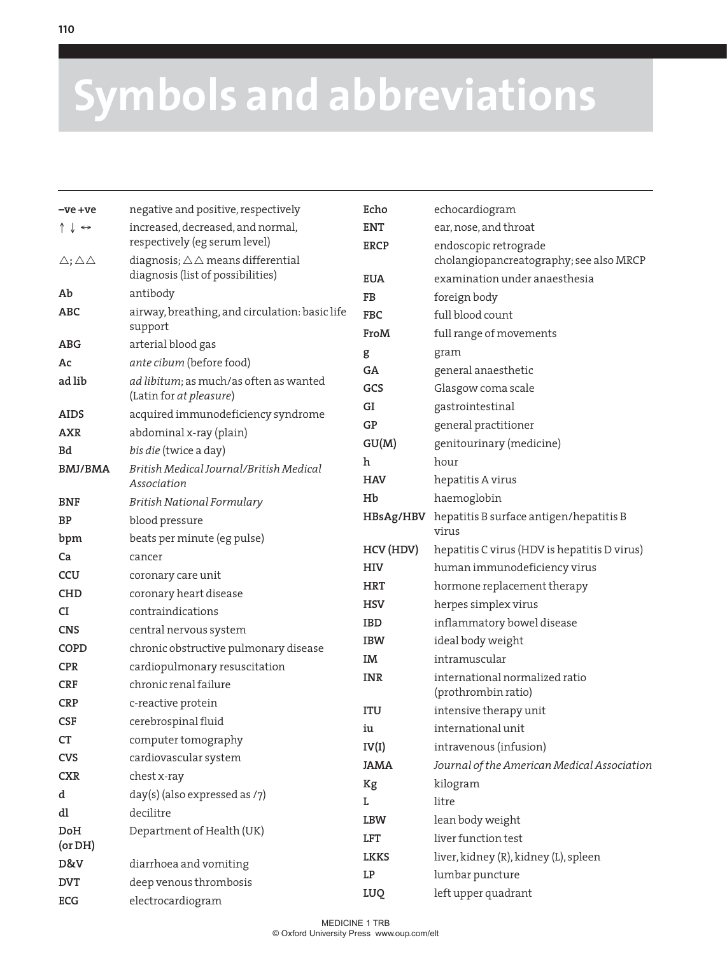## **Symbols and abbreviations**

| -ve +ve                               | negative and positive, respectively                       | Echo        | echocardiogram                                        |
|---------------------------------------|-----------------------------------------------------------|-------------|-------------------------------------------------------|
| $\uparrow \downarrow \leftrightarrow$ | increased, decreased, and normal,                         | <b>ENT</b>  | ear, nose, and throat                                 |
|                                       | respectively (eg serum level)                             | <b>ERCP</b> | endoscopic retrograde                                 |
| $\triangle$ ; $\triangle \triangle$   | diagnosis; $\triangle \triangle$ means differential       |             | cholangiopancreatography; see also MRCP               |
|                                       | diagnosis (list of possibilities)                         | <b>EUA</b>  | examination under anaesthesia                         |
| Ab                                    | antibody                                                  | FB          | foreign body                                          |
| ABC                                   | airway, breathing, and circulation: basic life<br>support | <b>FBC</b>  | full blood count                                      |
| <b>ABG</b>                            | arterial blood gas                                        | FroM        | full range of movements                               |
| Ac                                    | ante cibum (before food)                                  | g           | gram                                                  |
| ad lib                                | ad libitum; as much/as often as wanted                    | GA          | general anaesthetic                                   |
|                                       | (Latin for at pleasure)                                   | GCS         | Glasgow coma scale                                    |
| <b>AIDS</b>                           | acquired immunodeficiency syndrome                        | GI          | gastrointestinal                                      |
| <b>AXR</b>                            | abdominal x-ray (plain)                                   | GP          | general practitioner                                  |
| Bd                                    | bis die (twice a day)                                     | GU(M)       | genitourinary (medicine)                              |
| <b>BMJ/BMA</b>                        | British Medical Journal/British Medical                   | h           | hour                                                  |
|                                       | Association                                               | <b>HAV</b>  | hepatitis A virus                                     |
| <b>BNF</b>                            | British National Formulary                                | Hb          | haemoglobin                                           |
| ΒP                                    | blood pressure                                            | HBsAg/HBV   | hepatitis B surface antigen/hepatitis B               |
| bpm                                   | beats per minute (eg pulse)                               |             | virus                                                 |
| Ca                                    | cancer                                                    | HCV (HDV)   | hepatitis C virus (HDV is hepatitis D virus)          |
| <b>CCU</b>                            | coronary care unit                                        | <b>HIV</b>  | human immunodeficiency virus                          |
| CHD                                   | coronary heart disease                                    | <b>HRT</b>  | hormone replacement therapy                           |
| CI                                    | contraindications                                         | <b>HSV</b>  | herpes simplex virus                                  |
| <b>CNS</b>                            | central nervous system                                    | <b>IBD</b>  | inflammatory bowel disease                            |
| <b>COPD</b>                           | chronic obstructive pulmonary disease                     | <b>IBW</b>  | ideal body weight                                     |
| <b>CPR</b>                            | cardiopulmonary resuscitation                             | IM          | intramuscular                                         |
| CRF                                   | chronic renal failure                                     | <b>INR</b>  | international normalized ratio<br>(prothrombin ratio) |
| <b>CRP</b>                            | c-reactive protein                                        | <b>ITU</b>  | intensive therapy unit                                |
| <b>CSF</b>                            | cerebrospinal fluid                                       | iu          | international unit                                    |
| CT                                    | computer tomography                                       | IV(I)       | intravenous (infusion)                                |
| CVS                                   | cardiovascular system                                     | <b>JAMA</b> | Journal of the American Medical Association           |
| <b>CXR</b>                            | chest x-ray                                               | Kg          | kilogram                                              |
| d                                     | day(s) (also expressed as /7)                             | L           | litre                                                 |
| dl                                    | decilitre                                                 | LBW         | lean body weight                                      |
| DoH                                   | Department of Health (UK)                                 | LFT         | liver function test                                   |
| (or DH)                               |                                                           | <b>LKKS</b> | liver, kidney (R), kidney (L), spleen                 |
| D&V                                   | diarrhoea and vomiting                                    | LP          | lumbar puncture                                       |
| <b>DVT</b>                            | deep venous thrombosis                                    | LUQ         | left upper quadrant                                   |
| ECG                                   | electrocardiogram                                         |             |                                                       |